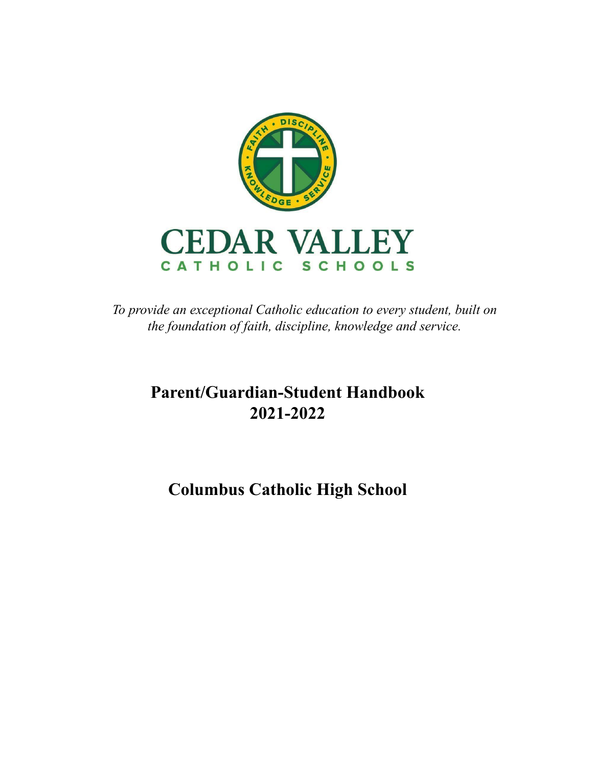

*To provide an exceptional Catholic education to every student, built on the foundation of faith, discipline, knowledge and service.*

# **Parent/Guardian-Student Handbook 2021-2022**

# **Columbus Catholic High School**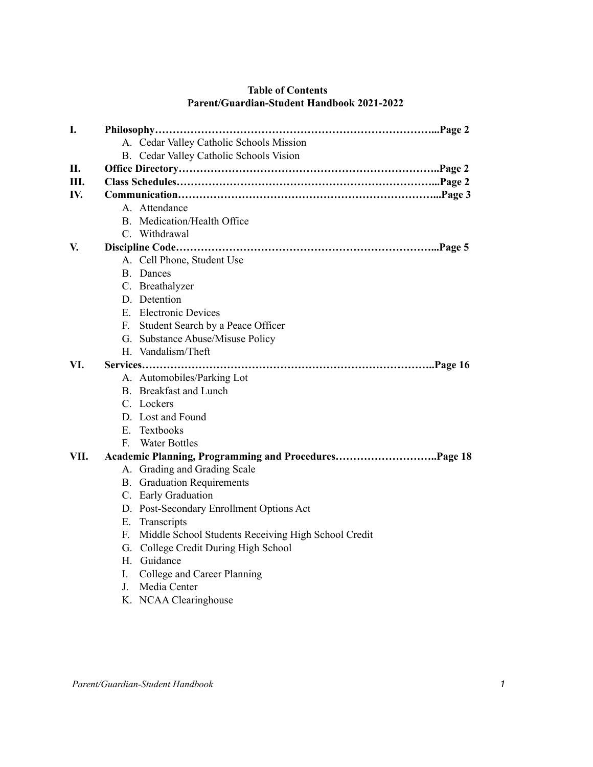| A. Cedar Valley Catholic Schools Mission                  |
|-----------------------------------------------------------|
| B. Cedar Valley Catholic Schools Vision                   |
|                                                           |
|                                                           |
|                                                           |
| A. Attendance                                             |
| B. Medication/Health Office                               |
| C. Withdrawal                                             |
|                                                           |
|                                                           |
| A. Cell Phone, Student Use<br><b>B.</b> Dances            |
|                                                           |
| C. Breathalyzer<br>D. Detention                           |
| E. Electronic Devices                                     |
|                                                           |
| Student Search by a Peace Officer<br>E.                   |
| G. Substance Abuse/Misuse Policy<br>H. Vandalism/Theft    |
|                                                           |
| Services                                                  |
| A. Automobiles/Parking Lot                                |
| B. Breakfast and Lunch                                    |
| C. Lockers                                                |
| D. Lost and Found                                         |
| E. Textbooks                                              |
| $F_{\perp}$<br><b>Water Bottles</b>                       |
| Academic Planning, Programming and ProceduresPage 18      |
| A. Grading and Grading Scale                              |
| <b>B.</b> Graduation Requirements                         |
| C. Early Graduation                                       |
| D. Post-Secondary Enrollment Options Act                  |
| E. Transcripts                                            |
| Middle School Students Receiving High School Credit<br>F. |
| G. College Credit During High School                      |
| H. Guidance                                               |
| College and Career Planning<br>I.                         |
| Media Center<br>J.                                        |

# **Table of Contents Parent/Guardian-Student Handbook 2021-2022**

K. NCAA Clearinghouse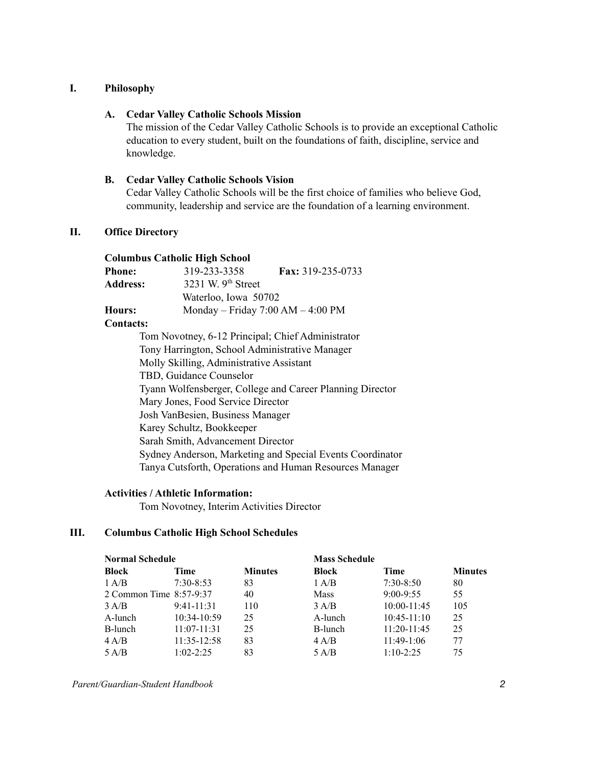## **I. Philosophy**

## **A. Cedar Valley Catholic Schools Mission**

The mission of the Cedar Valley Catholic Schools is to provide an exceptional Catholic education to every student, built on the foundations of faith, discipline, service and knowledge.

## **B. Cedar Valley Catholic Schools Vision**

Cedar Valley Catholic Schools will be the first choice of families who believe God, community, leadership and service are the foundation of a learning environment.

# **II. Office Directory**

## **Columbus Catholic High School**

| <b>Phone:</b>   | 319-233-3358                        | Fax: 319-235-0733 |
|-----------------|-------------------------------------|-------------------|
| <b>Address:</b> | 3231 W. 9 <sup>th</sup> Street      |                   |
|                 | Waterloo, Iowa 50702                |                   |
| Hours:          | Monday – Friday $7:00 AM - 4:00 PM$ |                   |

## **Contacts:**

Tom Novotney, 6-12 Principal; Chief Administrator Tony Harrington, School Administrative Manager Molly Skilling, Administrative Assistant TBD, Guidance Counselor Tyann Wolfensberger, College and Career Planning Director Mary Jones, Food Service Director Josh VanBesien, Business Manager Karey Schultz, Bookkeeper Sarah Smith, Advancement Director Sydney Anderson, Marketing and Special Events Coordinator Tanya Cutsforth, Operations and Human Resources Manager

#### **Activities / Athletic Information:**

Tom Novotney, Interim Activities Director

# **III. Columbus Catholic High School Schedules**

| <b>Normal Schedule</b>  |                 |                | <b>Mass Schedule</b> |                 |                |
|-------------------------|-----------------|----------------|----------------------|-----------------|----------------|
| Block                   | Time            | <b>Minutes</b> | <b>Block</b>         | Time            | <b>Minutes</b> |
| 1 A/B                   | $7:30 - 8:53$   | 83             | 1 A/B                | $7:30-8:50$     | 80             |
| 2 Common Time 8:57-9:37 |                 | 40             | <b>Mass</b>          | $9:00 - 9:55$   | 55             |
| 3 A/B                   | $9:41 - 11:31$  | 110            | 3 A/B                | $10:00 - 11:45$ | 105            |
| A-lunch                 | $10:34 - 10:59$ | 25             | A-lunch              | $10:45 - 11:10$ | 25             |
| B-lunch                 | $11:07 - 11:31$ | 25             | B-lunch              | $11:20-11:45$   | 25             |
| 4 A/B                   | $11:35 - 12:58$ | 83             | 4 A/B                | $11:49-1:06$    | 77             |
| 5 A/B                   | $1.02 - 2.25$   | 83             | 5 A/B                | $1.10 - 2.25$   | 75             |

*Parent/Guardian-Student Handbook 2*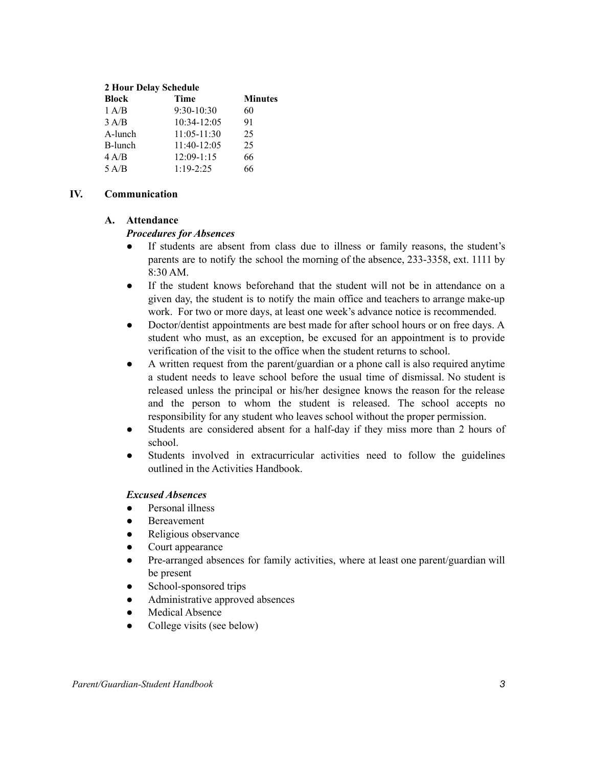#### **2 Hour Delay Schedule**

| <b>Block</b> | Time            | <b>Minutes</b> |
|--------------|-----------------|----------------|
| 1 A/B        | $9:30-10:30$    | 60             |
| 3 A/B        | 10:34-12:05     | 91             |
| A-lunch      | $11:05 - 11:30$ | 25             |
| B-lunch      | $11:40-12:05$   | 25             |
| 4 A/B        | $12:09-1:15$    | 66             |
| 5 A/B        | $1:19-2:25$     | 66             |

# **IV. Communication**

# **A. Attendance**

# *Procedures for Absences*

- If students are absent from class due to illness or family reasons, the student's parents are to notify the school the morning of the absence, 233-3358, ext. 1111 by 8:30 AM.
- If the student knows beforehand that the student will not be in attendance on a given day, the student is to notify the main office and teachers to arrange make-up work. For two or more days, at least one week's advance notice is recommended.
- Doctor/dentist appointments are best made for after school hours or on free days. A student who must, as an exception, be excused for an appointment is to provide verification of the visit to the office when the student returns to school.
- A written request from the parent/guardian or a phone call is also required anytime a student needs to leave school before the usual time of dismissal. No student is released unless the principal or his/her designee knows the reason for the release and the person to whom the student is released. The school accepts no responsibility for any student who leaves school without the proper permission.
- Students are considered absent for a half-day if they miss more than 2 hours of school.
- Students involved in extracurricular activities need to follow the guidelines outlined in the Activities Handbook.

# *Excused Absences*

- Personal illness
- **Bereavement**
- Religious observance
- Court appearance
- Pre-arranged absences for family activities, where at least one parent/guardian will be present
- School-sponsored trips
- Administrative approved absences
- **Medical Absence**
- College visits (see below)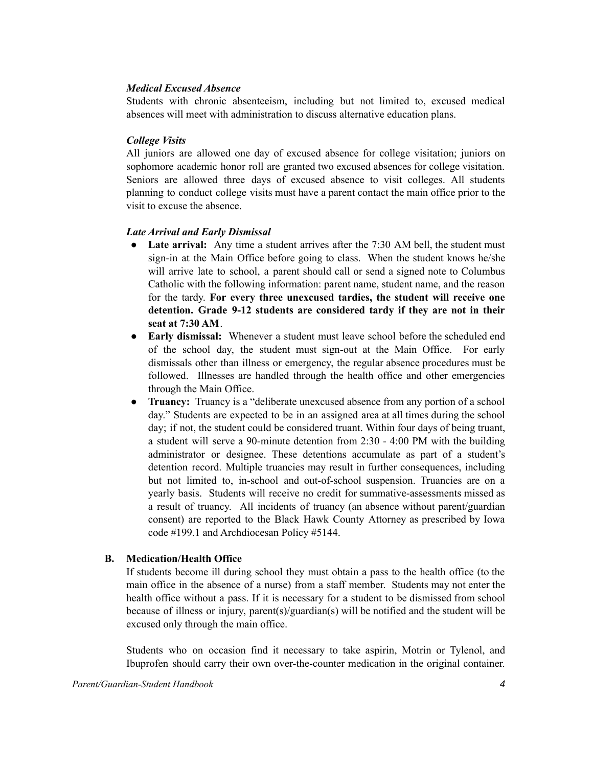## *Medical Excused Absence*

Students with chronic absenteeism, including but not limited to, excused medical absences will meet with administration to discuss alternative education plans.

## *College Visits*

All juniors are allowed one day of excused absence for college visitation; juniors on sophomore academic honor roll are granted two excused absences for college visitation. Seniors are allowed three days of excused absence to visit colleges. All students planning to conduct college visits must have a parent contact the main office prior to the visit to excuse the absence.

## *Late Arrival and Early Dismissal*

- Late arrival: Any time a student arrives after the 7:30 AM bell, the student must sign-in at the Main Office before going to class. When the student knows he/she will arrive late to school, a parent should call or send a signed note to Columbus Catholic with the following information: parent name, student name, and the reason for the tardy. **For every three unexcused tardies, the student will receive one detention. Grade 9-12 students are considered tardy if they are not in their seat at 7:30 AM**.
- **Early dismissal:** Whenever a student must leave school before the scheduled end of the school day, the student must sign-out at the Main Office. For early dismissals other than illness or emergency, the regular absence procedures must be followed. Illnesses are handled through the health office and other emergencies through the Main Office.
- **Truancy:** Truancy is a "deliberate unexcused absence from any portion of a school day." Students are expected to be in an assigned area at all times during the school day; if not, the student could be considered truant. Within four days of being truant, a student will serve a 90-minute detention from 2:30 - 4:00 PM with the building administrator or designee. These detentions accumulate as part of a student's detention record. Multiple truancies may result in further consequences, including but not limited to, in-school and out-of-school suspension. Truancies are on a yearly basis. Students will receive no credit for summative-assessments missed as a result of truancy. All incidents of truancy (an absence without parent/guardian consent) are reported to the Black Hawk County Attorney as prescribed by Iowa code #199.1 and Archdiocesan Policy #5144.

# **B. Medication/Health Office**

If students become ill during school they must obtain a pass to the health office (to the main office in the absence of a nurse) from a staff member. Students may not enter the health office without a pass. If it is necessary for a student to be dismissed from school because of illness or injury, parent(s)/guardian(s) will be notified and the student will be excused only through the main office.

Students who on occasion find it necessary to take aspirin, Motrin or Tylenol, and Ibuprofen should carry their own over-the-counter medication in the original container.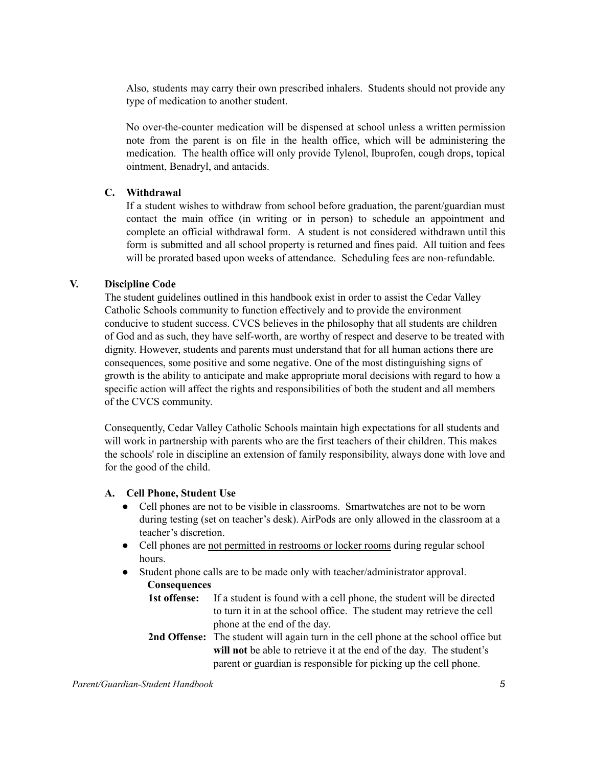Also, students may carry their own prescribed inhalers. Students should not provide any type of medication to another student.

No over-the-counter medication will be dispensed at school unless a written permission note from the parent is on file in the health office, which will be administering the medication. The health office will only provide Tylenol, Ibuprofen, cough drops, topical ointment, Benadryl, and antacids.

## **C. Withdrawal**

If a student wishes to withdraw from school before graduation, the parent/guardian must contact the main office (in writing or in person) to schedule an appointment and complete an official withdrawal form. A student is not considered withdrawn until this form is submitted and all school property is returned and fines paid. All tuition and fees will be prorated based upon weeks of attendance. Scheduling fees are non-refundable.

## **V. Discipline Code**

The student guidelines outlined in this handbook exist in order to assist the Cedar Valley Catholic Schools community to function effectively and to provide the environment conducive to student success. CVCS believes in the philosophy that all students are children of God and as such, they have self-worth, are worthy of respect and deserve to be treated with dignity. However, students and parents must understand that for all human actions there are consequences, some positive and some negative. One of the most distinguishing signs of growth is the ability to anticipate and make appropriate moral decisions with regard to how a specific action will affect the rights and responsibilities of both the student and all members of the CVCS community.

Consequently, Cedar Valley Catholic Schools maintain high expectations for all students and will work in partnership with parents who are the first teachers of their children. This makes the schools' role in discipline an extension of family responsibility, always done with love and for the good of the child.

#### **A. Cell Phone, Student Use**

- Cell phones are not to be visible in classrooms. Smartwatches are not to be worn during testing (set on teacher's desk). AirPods are only allowed in the classroom at a teacher's discretion.
- Cell phones are not permitted in restrooms or locker rooms during regular school hours.
- Student phone calls are to be made only with teacher/administrator approval. **Consequences**
	- **1st offense:** If a student is found with a cell phone, the student will be directed to turn it in at the school office. The student may retrieve the cell phone at the end of the day.
	- **2nd Offense:** The student will again turn in the cell phone at the school office but **will not** be able to retrieve it at the end of the day. The student's parent or guardian is responsible for picking up the cell phone.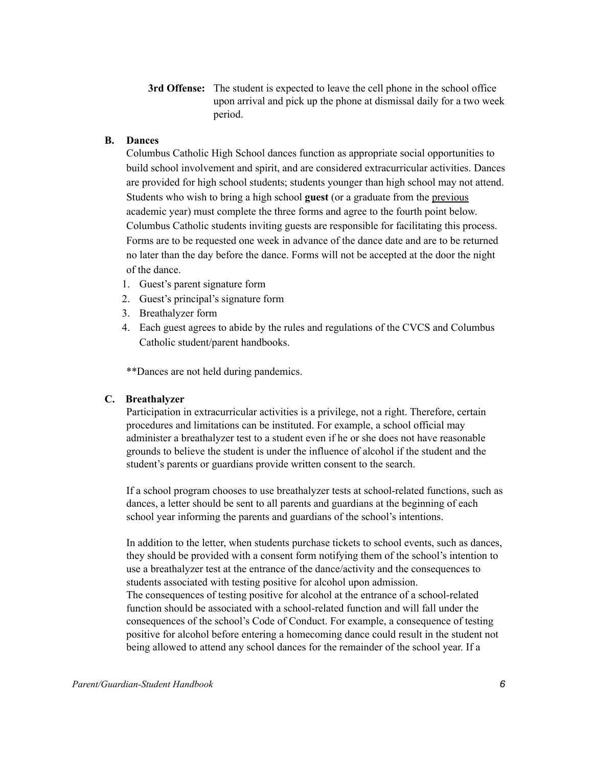**3rd Offense:** The student is expected to leave the cell phone in the school office upon arrival and pick up the phone at dismissal daily for a two week period.

# **B. Dances**

Columbus Catholic High School dances function as appropriate social opportunities to build school involvement and spirit, and are considered extracurricular activities. Dances are provided for high school students; students younger than high school may not attend. Students who wish to bring a high school **guest** (or a graduate from the previous academic year) must complete the three forms and agree to the fourth point below. Columbus Catholic students inviting guests are responsible for facilitating this process. Forms are to be requested one week in advance of the dance date and are to be returned no later than the day before the dance. Forms will not be accepted at the door the night of the dance.

- 1. Guest's parent signature form
- 2. Guest's principal's signature form
- 3. Breathalyzer form
- 4. Each guest agrees to abide by the rules and regulations of the CVCS and Columbus Catholic student/parent handbooks.

\*\*Dances are not held during pandemics.

## **C. Breathalyzer**

Participation in extracurricular activities is a privilege, not a right. Therefore, certain procedures and limitations can be instituted. For example, a school official may administer a breathalyzer test to a student even if he or she does not have reasonable grounds to believe the student is under the influence of alcohol if the student and the student's parents or guardians provide written consent to the search.

If a school program chooses to use breathalyzer tests at school-related functions, such as dances, a letter should be sent to all parents and guardians at the beginning of each school year informing the parents and guardians of the school's intentions.

In addition to the letter, when students purchase tickets to school events, such as dances, they should be provided with a consent form notifying them of the school's intention to use a breathalyzer test at the entrance of the dance/activity and the consequences to students associated with testing positive for alcohol upon admission. The consequences of testing positive for alcohol at the entrance of a school-related function should be associated with a school-related function and will fall under the consequences of the school's Code of Conduct. For example, a consequence of testing positive for alcohol before entering a homecoming dance could result in the student not being allowed to attend any school dances for the remainder of the school year. If a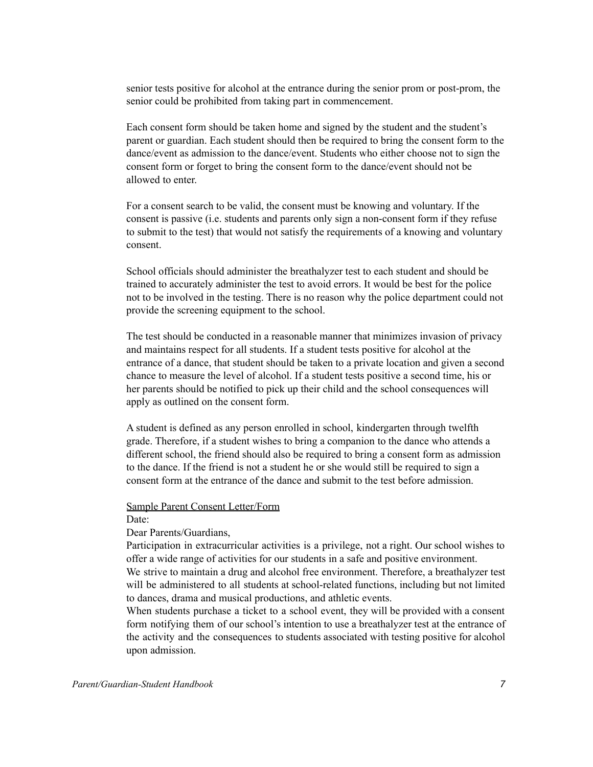senior tests positive for alcohol at the entrance during the senior prom or post-prom, the senior could be prohibited from taking part in commencement.

Each consent form should be taken home and signed by the student and the student's parent or guardian. Each student should then be required to bring the consent form to the dance/event as admission to the dance/event. Students who either choose not to sign the consent form or forget to bring the consent form to the dance/event should not be allowed to enter.

For a consent search to be valid, the consent must be knowing and voluntary. If the consent is passive (i.e. students and parents only sign a non-consent form if they refuse to submit to the test) that would not satisfy the requirements of a knowing and voluntary consent.

School officials should administer the breathalyzer test to each student and should be trained to accurately administer the test to avoid errors. It would be best for the police not to be involved in the testing. There is no reason why the police department could not provide the screening equipment to the school.

The test should be conducted in a reasonable manner that minimizes invasion of privacy and maintains respect for all students. If a student tests positive for alcohol at the entrance of a dance, that student should be taken to a private location and given a second chance to measure the level of alcohol. If a student tests positive a second time, his or her parents should be notified to pick up their child and the school consequences will apply as outlined on the consent form.

A student is defined as any person enrolled in school, kindergarten through twelfth grade. Therefore, if a student wishes to bring a companion to the dance who attends a different school, the friend should also be required to bring a consent form as admission to the dance. If the friend is not a student he or she would still be required to sign a consent form at the entrance of the dance and submit to the test before admission.

#### Sample Parent Consent Letter/Form

Date:

## Dear Parents/Guardians,

Participation in extracurricular activities is a privilege, not a right. Our school wishes to offer a wide range of activities for our students in a safe and positive environment. We strive to maintain a drug and alcohol free environment. Therefore, a breathalyzer test will be administered to all students at school-related functions, including but not limited

to dances, drama and musical productions, and athletic events.

When students purchase a ticket to a school event, they will be provided with a consent form notifying them of our school's intention to use a breathalyzer test at the entrance of the activity and the consequences to students associated with testing positive for alcohol upon admission.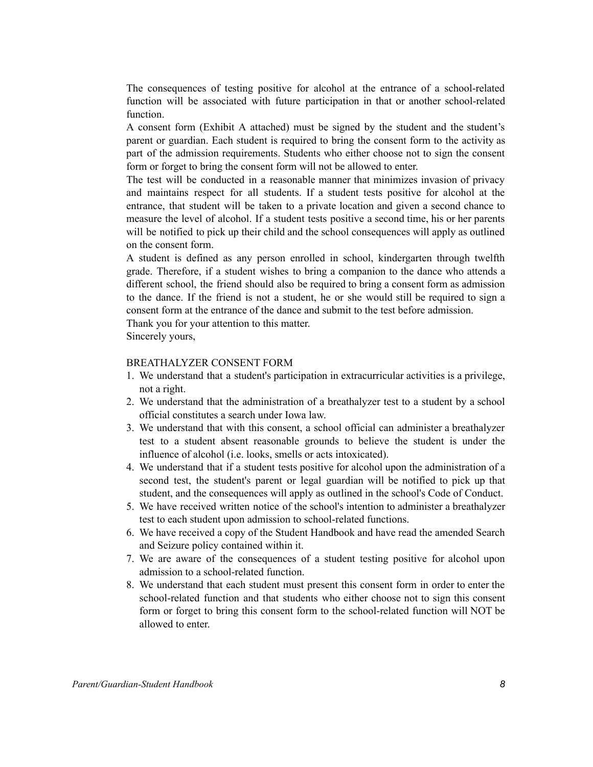The consequences of testing positive for alcohol at the entrance of a school-related function will be associated with future participation in that or another school-related function.

A consent form (Exhibit A attached) must be signed by the student and the student's parent or guardian. Each student is required to bring the consent form to the activity as part of the admission requirements. Students who either choose not to sign the consent form or forget to bring the consent form will not be allowed to enter.

The test will be conducted in a reasonable manner that minimizes invasion of privacy and maintains respect for all students. If a student tests positive for alcohol at the entrance, that student will be taken to a private location and given a second chance to measure the level of alcohol. If a student tests positive a second time, his or her parents will be notified to pick up their child and the school consequences will apply as outlined on the consent form.

A student is defined as any person enrolled in school, kindergarten through twelfth grade. Therefore, if a student wishes to bring a companion to the dance who attends a different school, the friend should also be required to bring a consent form as admission to the dance. If the friend is not a student, he or she would still be required to sign a consent form at the entrance of the dance and submit to the test before admission.

Thank you for your attention to this matter.

Sincerely yours,

#### BREATHALYZER CONSENT FORM

- 1. We understand that a student's participation in extracurricular activities is a privilege, not a right.
- 2. We understand that the administration of a breathalyzer test to a student by a school official constitutes a search under Iowa law.
- 3. We understand that with this consent, a school official can administer a breathalyzer test to a student absent reasonable grounds to believe the student is under the influence of alcohol (i.e. looks, smells or acts intoxicated).
- 4. We understand that if a student tests positive for alcohol upon the administration of a second test, the student's parent or legal guardian will be notified to pick up that student, and the consequences will apply as outlined in the school's Code of Conduct.
- 5. We have received written notice of the school's intention to administer a breathalyzer test to each student upon admission to school-related functions.
- 6. We have received a copy of the Student Handbook and have read the amended Search and Seizure policy contained within it.
- 7. We are aware of the consequences of a student testing positive for alcohol upon admission to a school-related function.
- 8. We understand that each student must present this consent form in order to enter the school-related function and that students who either choose not to sign this consent form or forget to bring this consent form to the school-related function will NOT be allowed to enter.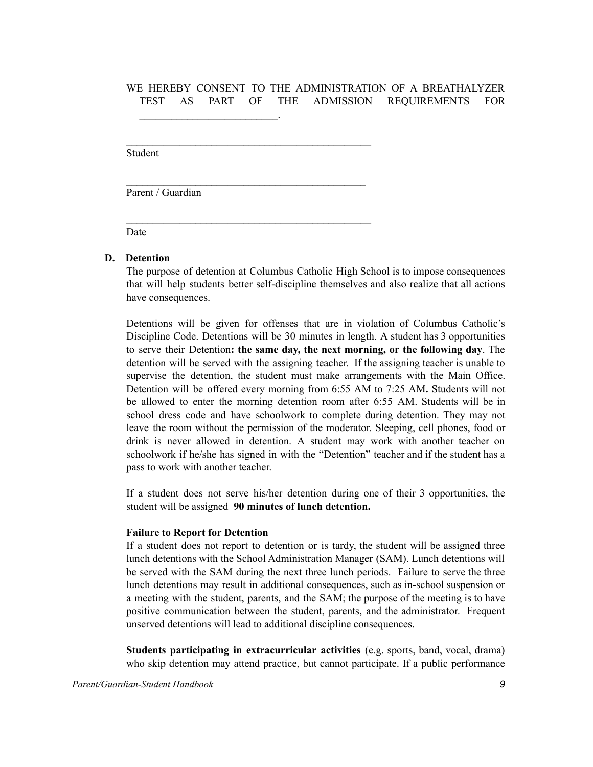# WE HEREBY CONSENT TO THE ADMINISTRATION OF A BREATHALYZER TEST AS PART OF THE ADMISSION REQUIREMENTS FOR

Student

Parent / Guardian

 $\mathcal{L}_\text{max}$  and  $\mathcal{L}_\text{max}$  and  $\mathcal{L}_\text{max}$ 

 $\mathcal{L}_\text{max}$  and the contract of the contract of the contract of the contract of the contract of the contract of the contract of the contract of the contract of the contract of the contract of the contract of the contrac

 $\mathcal{L}_\text{max}$  and the contract of the contract of the contract of the contract of the contract of the contract of the contract of the contract of the contract of the contract of the contract of the contract of the contrac

 $\mathcal{L}_\text{max}$  and the contract of the contract of the contract of the contract of the contract of the contract of the contract of the contract of the contract of the contract of the contract of the contract of the contrac

Date

#### **D. Detention**

The purpose of detention at Columbus Catholic High School is to impose consequences that will help students better self-discipline themselves and also realize that all actions have consequences.

Detentions will be given for offenses that are in violation of Columbus Catholic's Discipline Code. Detentions will be 30 minutes in length. A student has 3 opportunities to serve their Detention**: the same day, the next morning, or the following day**. The detention will be served with the assigning teacher. If the assigning teacher is unable to supervise the detention, the student must make arrangements with the Main Office. Detention will be offered every morning from 6:55 AM to 7:25 AM**.** Students will not be allowed to enter the morning detention room after 6:55 AM. Students will be in school dress code and have schoolwork to complete during detention. They may not leave the room without the permission of the moderator. Sleeping, cell phones, food or drink is never allowed in detention. A student may work with another teacher on schoolwork if he/she has signed in with the "Detention" teacher and if the student has a pass to work with another teacher.

If a student does not serve his/her detention during one of their 3 opportunities, the student will be assigned **90 minutes of lunch detention.**

#### **Failure to Report for Detention**

If a student does not report to detention or is tardy, the student will be assigned three lunch detentions with the School Administration Manager (SAM). Lunch detentions will be served with the SAM during the next three lunch periods. Failure to serve the three lunch detentions may result in additional consequences, such as in-school suspension or a meeting with the student, parents, and the SAM; the purpose of the meeting is to have positive communication between the student, parents, and the administrator. Frequent unserved detentions will lead to additional discipline consequences.

**Students participating in extracurricular activities** (e.g. sports, band, vocal, drama) who skip detention may attend practice, but cannot participate. If a public performance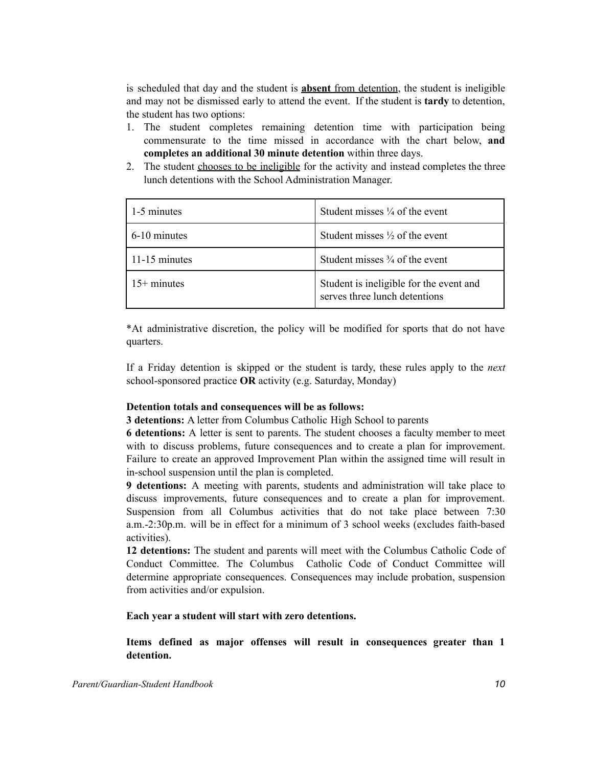is scheduled that day and the student is **absent** from detention, the student is ineligible and may not be dismissed early to attend the event. If the student is **tardy** to detention, the student has two options:

- 1. The student completes remaining detention time with participation being commensurate to the time missed in accordance with the chart below, **and completes an additional 30 minute detention** within three days.
- 2. The student chooses to be ineligible for the activity and instead completes the three lunch detentions with the School Administration Manager.

| 1-5 minutes   | Student misses $\frac{1}{4}$ of the event                                |
|---------------|--------------------------------------------------------------------------|
| 6-10 minutes  | Student misses $\frac{1}{2}$ of the event                                |
| 11-15 minutes | Student misses $\frac{3}{4}$ of the event                                |
| $15+$ minutes | Student is ineligible for the event and<br>serves three lunch detentions |

\*At administrative discretion, the policy will be modified for sports that do not have quarters.

If a Friday detention is skipped or the student is tardy, these rules apply to the *next* school-sponsored practice **OR** activity (e.g. Saturday, Monday)

#### **Detention totals and consequences will be as follows:**

**3 detentions:** A letter from Columbus Catholic High School to parents

**6 detentions:** A letter is sent to parents. The student chooses a faculty member to meet with to discuss problems, future consequences and to create a plan for improvement. Failure to create an approved Improvement Plan within the assigned time will result in in-school suspension until the plan is completed.

**9 detentions:** A meeting with parents, students and administration will take place to discuss improvements, future consequences and to create a plan for improvement. Suspension from all Columbus activities that do not take place between 7:30 a.m.-2:30p.m. will be in effect for a minimum of 3 school weeks (excludes faith-based activities).

**12 detentions:** The student and parents will meet with the Columbus Catholic Code of Conduct Committee. The Columbus Catholic Code of Conduct Committee will determine appropriate consequences. Consequences may include probation, suspension from activities and/or expulsion.

**Each year a student will start with zero detentions.**

**Items defined as major offenses will result in consequences greater than 1 detention.**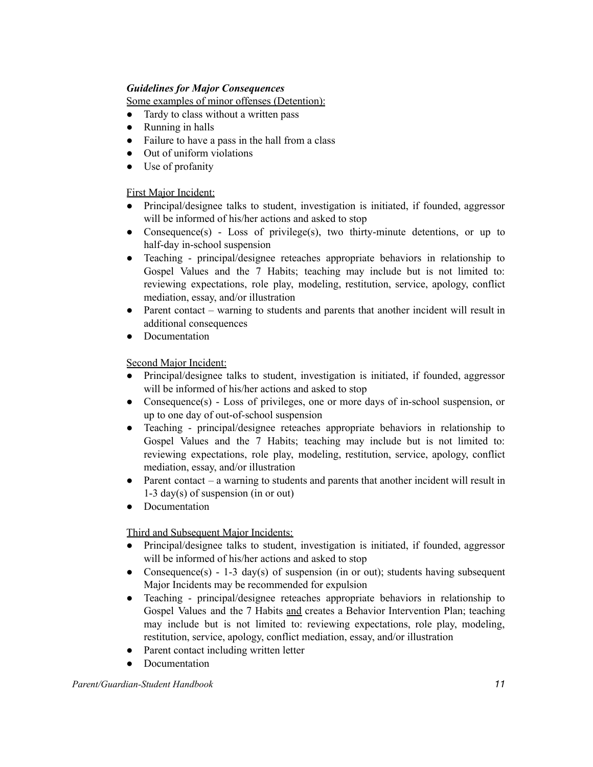# *Guidelines for Major Consequences*

Some examples of minor offenses (Detention):

- Tardy to class without a written pass
- Running in halls
- Failure to have a pass in the hall from a class
- Out of uniform violations
- Use of profanity

# First Major Incident:

- Principal/designee talks to student, investigation is initiated, if founded, aggressor will be informed of his/her actions and asked to stop
- Consequence(s) Loss of privilege(s), two thirty-minute detentions, or up to half-day in-school suspension
- Teaching principal/designee reteaches appropriate behaviors in relationship to Gospel Values and the 7 Habits; teaching may include but is not limited to: reviewing expectations, role play, modeling, restitution, service, apology, conflict mediation, essay, and/or illustration
- Parent contact warning to students and parents that another incident will result in additional consequences
- Documentation

# Second Major Incident:

- Principal/designee talks to student, investigation is initiated, if founded, aggressor will be informed of his/her actions and asked to stop
- Consequence(s) Loss of privileges, one or more days of in-school suspension, or up to one day of out-of-school suspension
- Teaching principal/designee reteaches appropriate behaviors in relationship to Gospel Values and the 7 Habits; teaching may include but is not limited to: reviewing expectations, role play, modeling, restitution, service, apology, conflict mediation, essay, and/or illustration
- Parent contact a warning to students and parents that another incident will result in 1-3 day(s) of suspension (in or out)
- Documentation

## Third and Subsequent Major Incidents:

- Principal/designee talks to student, investigation is initiated, if founded, aggressor will be informed of his/her actions and asked to stop
- Consequence(s) 1-3 day(s) of suspension (in or out); students having subsequent Major Incidents may be recommended for expulsion
- Teaching principal/designee reteaches appropriate behaviors in relationship to Gospel Values and the 7 Habits and creates a Behavior Intervention Plan; teaching may include but is not limited to: reviewing expectations, role play, modeling, restitution, service, apology, conflict mediation, essay, and/or illustration
- Parent contact including written letter
- Documentation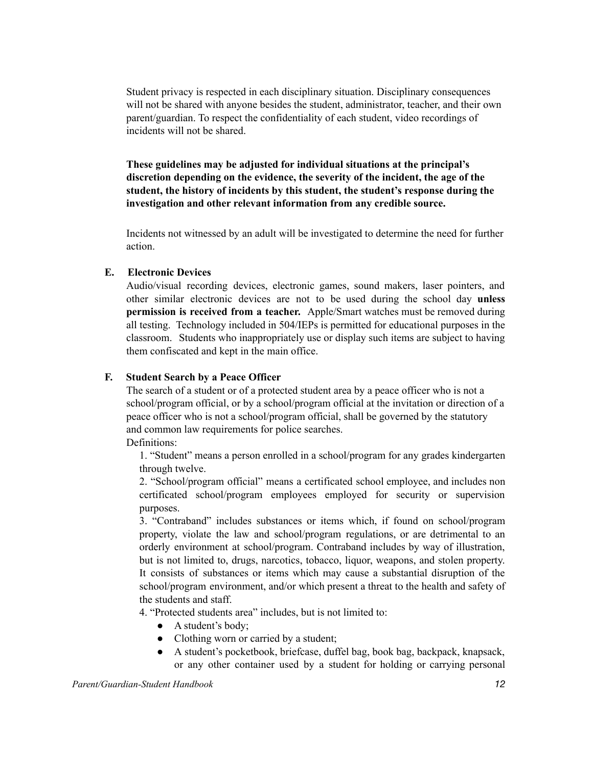Student privacy is respected in each disciplinary situation. Disciplinary consequences will not be shared with anyone besides the student, administrator, teacher, and their own parent/guardian. To respect the confidentiality of each student, video recordings of incidents will not be shared.

**These guidelines may be adjusted for individual situations at the principal's discretion depending on the evidence, the severity of the incident, the age of the student, the history of incidents by this student, the student's response during the investigation and other relevant information from any credible source.**

Incidents not witnessed by an adult will be investigated to determine the need for further action.

## **E. Electronic Devices**

Audio/visual recording devices, electronic games, sound makers, laser pointers, and other similar electronic devices are not to be used during the school day **unless permission is received from a teacher.** Apple/Smart watches must be removed during all testing. Technology included in 504/IEPs is permitted for educational purposes in the classroom. Students who inappropriately use or display such items are subject to having them confiscated and kept in the main office.

#### **F. Student Search by a Peace Officer**

The search of a student or of a protected student area by a peace officer who is not a school/program official, or by a school/program official at the invitation or direction of a peace officer who is not a school/program official, shall be governed by the statutory and common law requirements for police searches.

Definitions:

1. "Student" means a person enrolled in a school/program for any grades kindergarten through twelve.

2. "School/program official" means a certificated school employee, and includes non certificated school/program employees employed for security or supervision purposes.

3. "Contraband" includes substances or items which, if found on school/program property, violate the law and school/program regulations, or are detrimental to an orderly environment at school/program. Contraband includes by way of illustration, but is not limited to, drugs, narcotics, tobacco, liquor, weapons, and stolen property. It consists of substances or items which may cause a substantial disruption of the school/program environment, and/or which present a threat to the health and safety of the students and staff.

4. "Protected students area" includes, but is not limited to:

- A student's body;
- Clothing worn or carried by a student;
- A student's pocketbook, briefcase, duffel bag, book bag, backpack, knapsack, or any other container used by a student for holding or carrying personal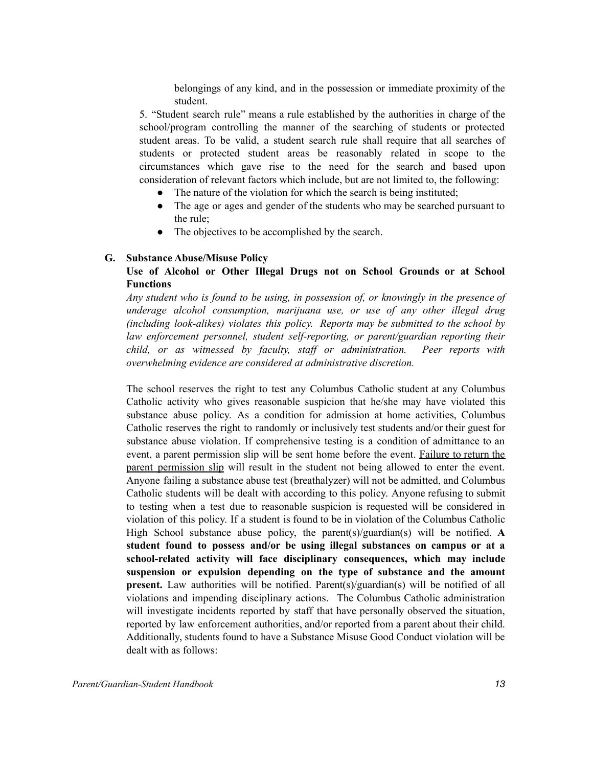belongings of any kind, and in the possession or immediate proximity of the student.

5. "Student search rule" means a rule established by the authorities in charge of the school/program controlling the manner of the searching of students or protected student areas. To be valid, a student search rule shall require that all searches of students or protected student areas be reasonably related in scope to the circumstances which gave rise to the need for the search and based upon consideration of relevant factors which include, but are not limited to, the following:

- The nature of the violation for which the search is being instituted;
- The age or ages and gender of the students who may be searched pursuant to the rule;
- The objectives to be accomplished by the search.

#### **G. Substance Abuse/Misuse Policy**

# **Use of Alcohol or Other Illegal Drugs not on School Grounds or at School Functions**

*Any student who is found to be using, in possession of, or knowingly in the presence of underage alcohol consumption, marijuana use, or use of any other illegal drug (including look-alikes) violates this policy. Reports may be submitted to the school by law enforcement personnel, student self-reporting, or parent/guardian reporting their child, or as witnessed by faculty, staff or administration. Peer reports with overwhelming evidence are considered at administrative discretion.*

The school reserves the right to test any Columbus Catholic student at any Columbus Catholic activity who gives reasonable suspicion that he/she may have violated this substance abuse policy. As a condition for admission at home activities, Columbus Catholic reserves the right to randomly or inclusively test students and/or their guest for substance abuse violation. If comprehensive testing is a condition of admittance to an event, a parent permission slip will be sent home before the event. Failure to return the parent permission slip will result in the student not being allowed to enter the event. Anyone failing a substance abuse test (breathalyzer) will not be admitted, and Columbus Catholic students will be dealt with according to this policy. Anyone refusing to submit to testing when a test due to reasonable suspicion is requested will be considered in violation of this policy. If a student is found to be in violation of the Columbus Catholic High School substance abuse policy, the parent(s)/guardian(s) will be notified. **A student found to possess and/or be using illegal substances on campus or at a school-related activity will face disciplinary consequences, which may include suspension or expulsion depending on the type of substance and the amount present.** Law authorities will be notified. Parent(s)/guardian(s) will be notified of all violations and impending disciplinary actions. The Columbus Catholic administration will investigate incidents reported by staff that have personally observed the situation, reported by law enforcement authorities, and/or reported from a parent about their child. Additionally, students found to have a Substance Misuse Good Conduct violation will be dealt with as follows: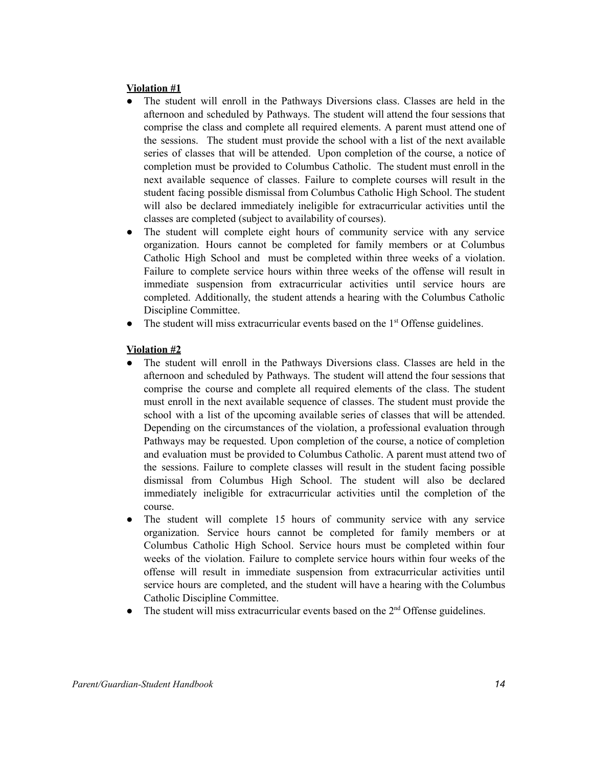## **Violation #1**

- The student will enroll in the Pathways Diversions class. Classes are held in the afternoon and scheduled by Pathways. The student will attend the four sessions that comprise the class and complete all required elements. A parent must attend one of the sessions. The student must provide the school with a list of the next available series of classes that will be attended. Upon completion of the course, a notice of completion must be provided to Columbus Catholic. The student must enroll in the next available sequence of classes. Failure to complete courses will result in the student facing possible dismissal from Columbus Catholic High School. The student will also be declared immediately ineligible for extracurricular activities until the classes are completed (subject to availability of courses).
- The student will complete eight hours of community service with any service organization. Hours cannot be completed for family members or at Columbus Catholic High School and must be completed within three weeks of a violation. Failure to complete service hours within three weeks of the offense will result in immediate suspension from extracurricular activities until service hours are completed. Additionally, the student attends a hearing with the Columbus Catholic Discipline Committee.
- The student will miss extracurricular events based on the  $1<sup>st</sup>$  Offense guidelines.

# **Violation #2**

- The student will enroll in the Pathways Diversions class. Classes are held in the afternoon and scheduled by Pathways. The student will attend the four sessions that comprise the course and complete all required elements of the class. The student must enroll in the next available sequence of classes. The student must provide the school with a list of the upcoming available series of classes that will be attended. Depending on the circumstances of the violation, a professional evaluation through Pathways may be requested. Upon completion of the course, a notice of completion and evaluation must be provided to Columbus Catholic. A parent must attend two of the sessions. Failure to complete classes will result in the student facing possible dismissal from Columbus High School. The student will also be declared immediately ineligible for extracurricular activities until the completion of the course.
- The student will complete 15 hours of community service with any service organization. Service hours cannot be completed for family members or at Columbus Catholic High School. Service hours must be completed within four weeks of the violation. Failure to complete service hours within four weeks of the offense will result in immediate suspension from extracurricular activities until service hours are completed, and the student will have a hearing with the Columbus Catholic Discipline Committee.
- The student will miss extracurricular events based on the  $2<sup>nd</sup>$  Offense guidelines.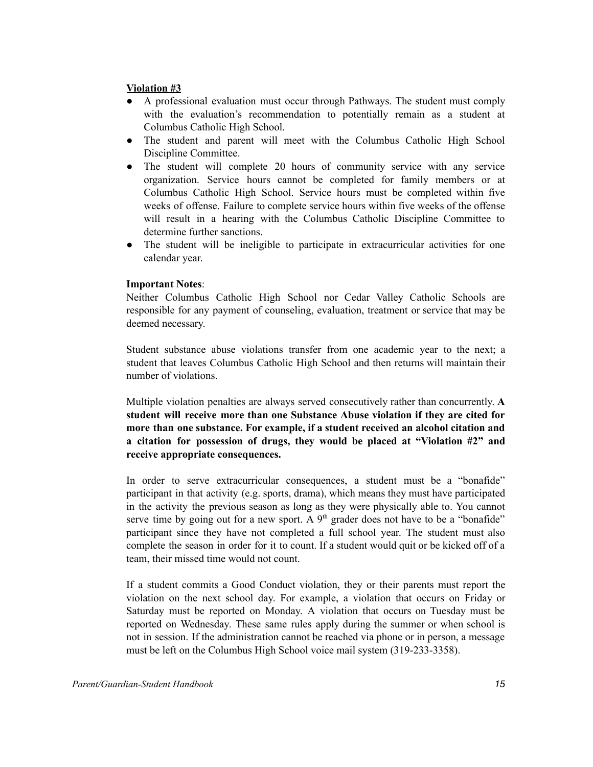## **Violation #3**

- A professional evaluation must occur through Pathways. The student must comply with the evaluation's recommendation to potentially remain as a student at Columbus Catholic High School.
- The student and parent will meet with the Columbus Catholic High School Discipline Committee.
- The student will complete 20 hours of community service with any service organization. Service hours cannot be completed for family members or at Columbus Catholic High School. Service hours must be completed within five weeks of offense. Failure to complete service hours within five weeks of the offense will result in a hearing with the Columbus Catholic Discipline Committee to determine further sanctions.
- The student will be ineligible to participate in extracurricular activities for one calendar year.

#### **Important Notes**:

Neither Columbus Catholic High School nor Cedar Valley Catholic Schools are responsible for any payment of counseling, evaluation, treatment or service that may be deemed necessary.

Student substance abuse violations transfer from one academic year to the next; a student that leaves Columbus Catholic High School and then returns will maintain their number of violations.

Multiple violation penalties are always served consecutively rather than concurrently. **A student will receive more than one Substance Abuse violation if they are cited for more than one substance. For example, if a student received an alcohol citation and a citation for possession of drugs, they would be placed at "Violation #2" and receive appropriate consequences.**

In order to serve extracurricular consequences, a student must be a "bonafide" participant in that activity (e.g. sports, drama), which means they must have participated in the activity the previous season as long as they were physically able to. You cannot serve time by going out for a new sport. A  $9<sup>th</sup>$  grader does not have to be a "bonafide" participant since they have not completed a full school year. The student must also complete the season in order for it to count. If a student would quit or be kicked off of a team, their missed time would not count.

If a student commits a Good Conduct violation, they or their parents must report the violation on the next school day. For example, a violation that occurs on Friday or Saturday must be reported on Monday. A violation that occurs on Tuesday must be reported on Wednesday. These same rules apply during the summer or when school is not in session. If the administration cannot be reached via phone or in person, a message must be left on the Columbus High School voice mail system (319-233-3358).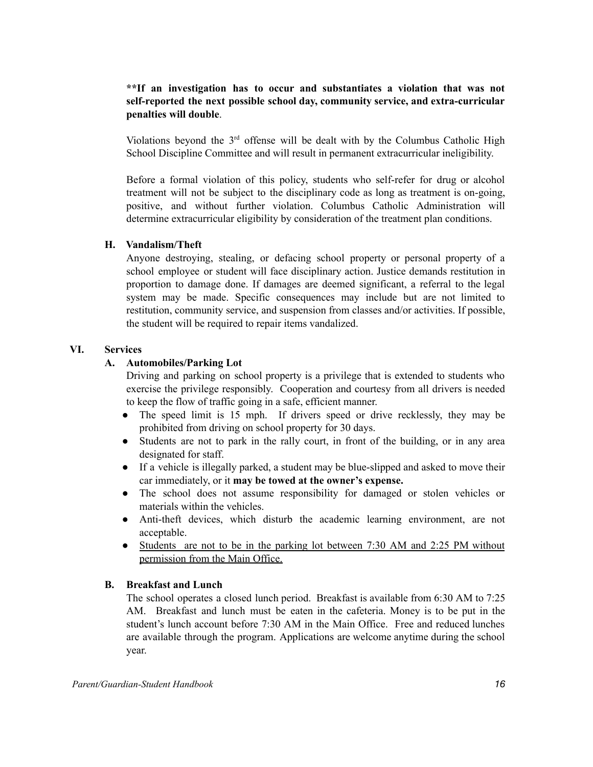# **\*\*If an investigation has to occur and substantiates a violation that was not self-reported the next possible school day, community service, and extra-curricular penalties will double**.

Violations beyond the  $3<sup>rd</sup>$  offense will be dealt with by the Columbus Catholic High School Discipline Committee and will result in permanent extracurricular ineligibility.

Before a formal violation of this policy, students who self-refer for drug or alcohol treatment will not be subject to the disciplinary code as long as treatment is on-going, positive, and without further violation. Columbus Catholic Administration will determine extracurricular eligibility by consideration of the treatment plan conditions.

#### **H. Vandalism/Theft**

Anyone destroying, stealing, or defacing school property or personal property of a school employee or student will face disciplinary action. Justice demands restitution in proportion to damage done. If damages are deemed significant, a referral to the legal system may be made. Specific consequences may include but are not limited to restitution, community service, and suspension from classes and/or activities. If possible, the student will be required to repair items vandalized.

#### **VI. Services**

#### **A. Automobiles/Parking Lot**

Driving and parking on school property is a privilege that is extended to students who exercise the privilege responsibly. Cooperation and courtesy from all drivers is needed to keep the flow of traffic going in a safe, efficient manner.

- The speed limit is 15 mph. If drivers speed or drive recklessly, they may be prohibited from driving on school property for 30 days.
- Students are not to park in the rally court, in front of the building, or in any area designated for staff.
- If a vehicle is illegally parked, a student may be blue-slipped and asked to move their car immediately, or it **may be towed at the owner's expense.**
- The school does not assume responsibility for damaged or stolen vehicles or materials within the vehicles.
- Anti-theft devices, which disturb the academic learning environment, are not acceptable.
- Students are not to be in the parking lot between 7:30 AM and 2:25 PM without permission from the Main Office.

#### **B. Breakfast and Lunch**

The school operates a closed lunch period. Breakfast is available from 6:30 AM to 7:25 AM. Breakfast and lunch must be eaten in the cafeteria. Money is to be put in the student's lunch account before 7:30 AM in the Main Office. Free and reduced lunches are available through the program. Applications are welcome anytime during the school year.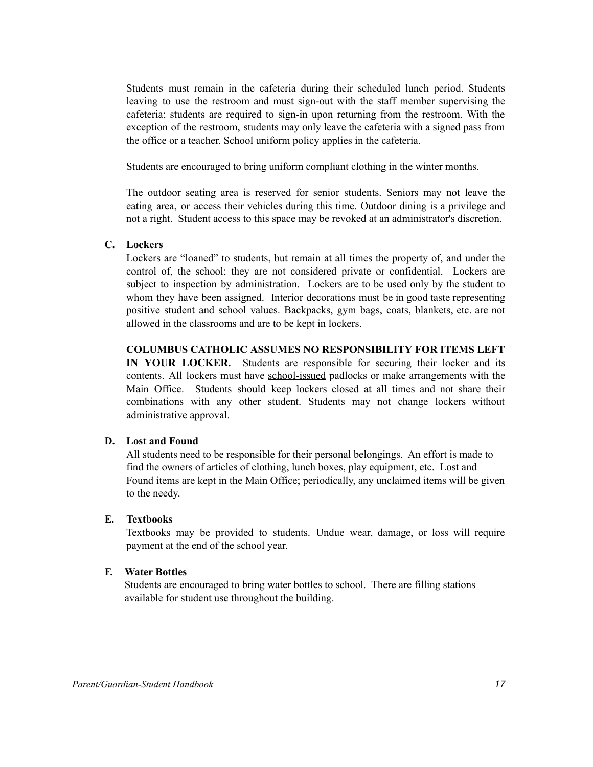Students must remain in the cafeteria during their scheduled lunch period. Students leaving to use the restroom and must sign-out with the staff member supervising the cafeteria; students are required to sign-in upon returning from the restroom. With the exception of the restroom, students may only leave the cafeteria with a signed pass from the office or a teacher. School uniform policy applies in the cafeteria.

Students are encouraged to bring uniform compliant clothing in the winter months.

The outdoor seating area is reserved for senior students. Seniors may not leave the eating area, or access their vehicles during this time. Outdoor dining is a privilege and not a right. Student access to this space may be revoked at an administrator's discretion.

## **C. Lockers**

Lockers are "loaned" to students, but remain at all times the property of, and under the control of, the school; they are not considered private or confidential. Lockers are subject to inspection by administration. Lockers are to be used only by the student to whom they have been assigned. Interior decorations must be in good taste representing positive student and school values. Backpacks, gym bags, coats, blankets, etc. are not allowed in the classrooms and are to be kept in lockers.

**COLUMBUS CATHOLIC ASSUMES NO RESPONSIBILITY FOR ITEMS LEFT IN YOUR LOCKER.** Students are responsible for securing their locker and its contents. All lockers must have school-issued padlocks or make arrangements with the Main Office. Students should keep lockers closed at all times and not share their combinations with any other student. Students may not change lockers without administrative approval.

#### **D. Lost and Found**

All students need to be responsible for their personal belongings. An effort is made to find the owners of articles of clothing, lunch boxes, play equipment, etc. Lost and Found items are kept in the Main Office; periodically, any unclaimed items will be given to the needy.

## **E. Textbooks**

Textbooks may be provided to students. Undue wear, damage, or loss will require payment at the end of the school year.

# **F. Water Bottles**

Students are encouraged to bring water bottles to school. There are filling stations available for student use throughout the building.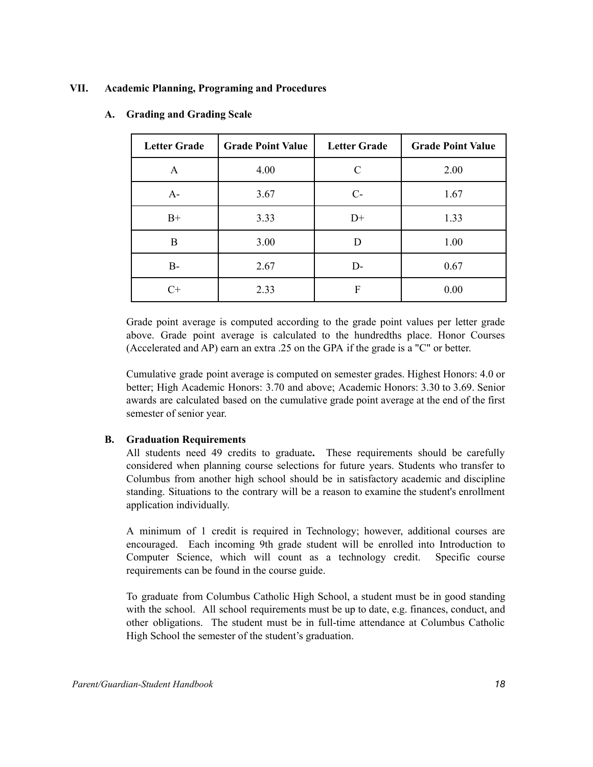## **VII. Academic Planning, Programing and Procedures**

| <b>Letter Grade</b> | <b>Grade Point Value</b> | <b>Letter Grade</b> | <b>Grade Point Value</b> |
|---------------------|--------------------------|---------------------|--------------------------|
| А                   | 4.00                     | C                   | 2.00                     |
| $A-$                | 3.67                     | $C-$                | 1.67                     |
| $B+$                | 3.33                     | $D+$                | 1.33                     |
| B                   | 3.00                     | D                   | 1.00                     |
| $B-$                | 2.67                     | D-                  | 0.67                     |
| $C+$                | 2.33                     | F                   | 0.00                     |

## **A. Grading and Grading Scale**

Grade point average is computed according to the grade point values per letter grade above. Grade point average is calculated to the hundredths place. Honor Courses (Accelerated and AP) earn an extra .25 on the GPA if the grade is a "C" or better.

Cumulative grade point average is computed on semester grades. Highest Honors: 4.0 or better; High Academic Honors: 3.70 and above; Academic Honors: 3.30 to 3.69. Senior awards are calculated based on the cumulative grade point average at the end of the first semester of senior year.

## **B. Graduation Requirements**

All students need 49 credits to graduate**.** These requirements should be carefully considered when planning course selections for future years. Students who transfer to Columbus from another high school should be in satisfactory academic and discipline standing. Situations to the contrary will be a reason to examine the student's enrollment application individually.

A minimum of 1 credit is required in Technology; however, additional courses are encouraged. Each incoming 9th grade student will be enrolled into Introduction to Computer Science, which will count as a technology credit. Specific course requirements can be found in the course guide.

To graduate from Columbus Catholic High School, a student must be in good standing with the school. All school requirements must be up to date, e.g. finances, conduct, and other obligations. The student must be in full-time attendance at Columbus Catholic High School the semester of the student's graduation.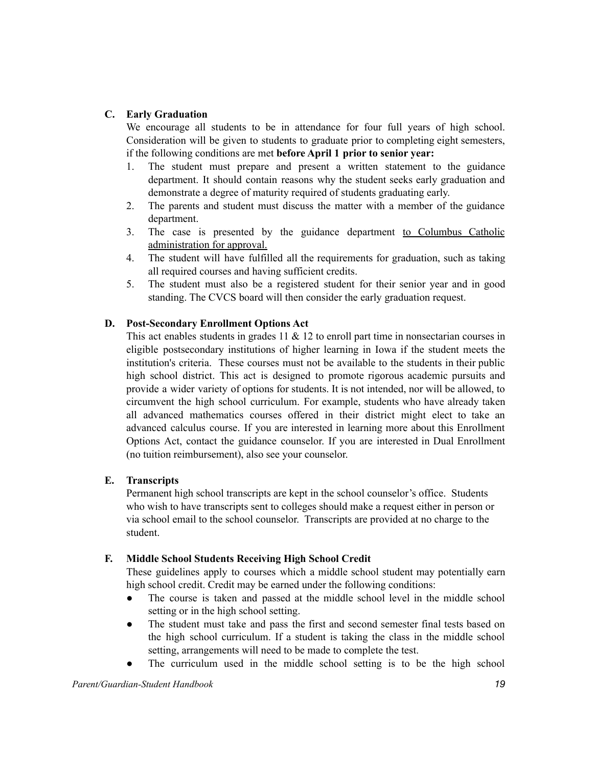# **C. Early Graduation**

We encourage all students to be in attendance for four full years of high school. Consideration will be given to students to graduate prior to completing eight semesters, if the following conditions are met **before April 1 prior to senior year:**

- 1. The student must prepare and present a written statement to the guidance department. It should contain reasons why the student seeks early graduation and demonstrate a degree of maturity required of students graduating early.
- 2. The parents and student must discuss the matter with a member of the guidance department.
- 3. The case is presented by the guidance department to Columbus Catholic administration for approval.
- 4. The student will have fulfilled all the requirements for graduation, such as taking all required courses and having sufficient credits.
- 5. The student must also be a registered student for their senior year and in good standing. The CVCS board will then consider the early graduation request.

# **D. Post-Secondary Enrollment Options Act**

This act enables students in grades  $11 \& 12$  to enroll part time in nonsectarian courses in eligible postsecondary institutions of higher learning in Iowa if the student meets the institution's criteria. These courses must not be available to the students in their public high school district. This act is designed to promote rigorous academic pursuits and provide a wider variety of options for students. It is not intended, nor will be allowed, to circumvent the high school curriculum. For example, students who have already taken all advanced mathematics courses offered in their district might elect to take an advanced calculus course. If you are interested in learning more about this Enrollment Options Act, contact the guidance counselor. If you are interested in Dual Enrollment (no tuition reimbursement), also see your counselor.

## **E. Transcripts**

Permanent high school transcripts are kept in the school counselor's office. Students who wish to have transcripts sent to colleges should make a request either in person or via school email to the school counselor. Transcripts are provided at no charge to the student.

## **F. Middle School Students Receiving High School Credit**

These guidelines apply to courses which a middle school student may potentially earn high school credit. Credit may be earned under the following conditions:

- The course is taken and passed at the middle school level in the middle school setting or in the high school setting.
- The student must take and pass the first and second semester final tests based on the high school curriculum. If a student is taking the class in the middle school setting, arrangements will need to be made to complete the test.
- The curriculum used in the middle school setting is to be the high school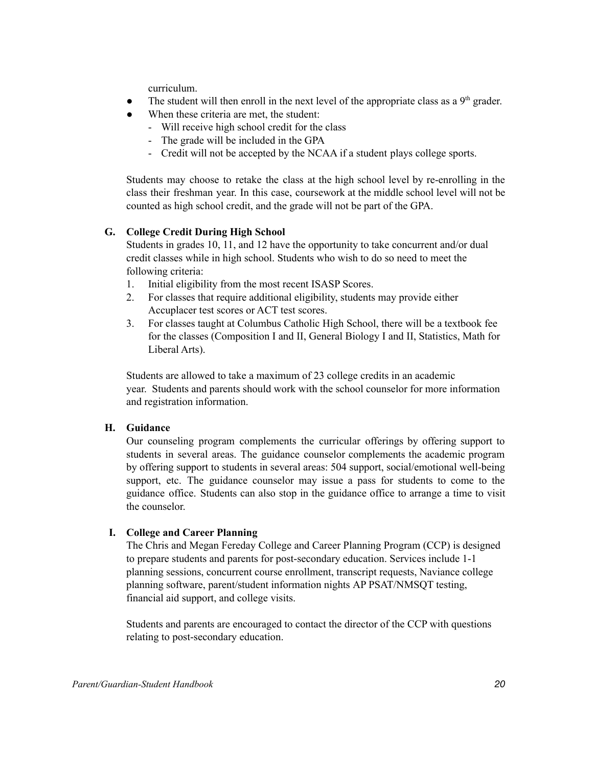curriculum.

- The student will then enroll in the next level of the appropriate class as a  $9<sup>th</sup>$  grader.
- When these criteria are met, the student:
	- Will receive high school credit for the class
	- The grade will be included in the GPA
	- Credit will not be accepted by the NCAA if a student plays college sports.

Students may choose to retake the class at the high school level by re-enrolling in the class their freshman year. In this case, coursework at the middle school level will not be counted as high school credit, and the grade will not be part of the GPA.

# **G. College Credit During High School**

Students in grades 10, 11, and 12 have the opportunity to take concurrent and/or dual credit classes while in high school. Students who wish to do so need to meet the following criteria:

- 1. Initial eligibility from the most recent ISASP Scores.
- 2. For classes that require additional eligibility, students may provide either Accuplacer test scores or ACT test scores.
- 3. For classes taught at Columbus Catholic High School, there will be a textbook fee for the classes (Composition I and II, General Biology I and II, Statistics, Math for Liberal Arts).

Students are allowed to take a maximum of 23 college credits in an academic year. Students and parents should work with the school counselor for more information and registration information.

# **H. Guidance**

Our counseling program complements the curricular offerings by offering support to students in several areas. The guidance counselor complements the academic program by offering support to students in several areas: 504 support, social/emotional well-being support, etc. The guidance counselor may issue a pass for students to come to the guidance office. Students can also stop in the guidance office to arrange a time to visit the counselor.

# **I. College and Career Planning**

The Chris and Megan Fereday College and Career Planning Program (CCP) is designed to prepare students and parents for post-secondary education. Services include 1-1 planning sessions, concurrent course enrollment, transcript requests, Naviance college planning software, parent/student information nights AP PSAT/NMSQT testing, financial aid support, and college visits.

Students and parents are encouraged to contact the director of the CCP with questions relating to post-secondary education.